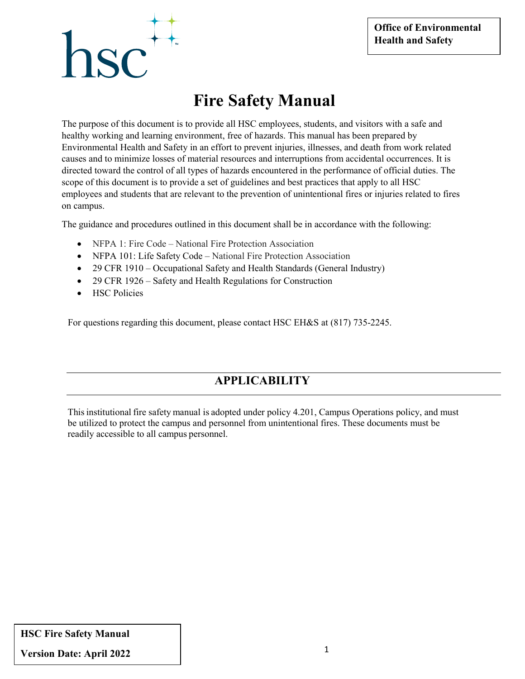# hsc

### **Fire Safety Manual**

The purpose of this document is to provide all HSC employees, students, and visitors with a safe and healthy working and learning environment, free of hazards. This manual has been prepared by Environmental Health and Safety in an effort to prevent injuries, illnesses, and death from work related causes and to minimize losses of material resources and interruptions from accidental occurrences. It is directed toward the control of all types of hazards encountered in the performance of official duties. The scope of this document is to provide a set of guidelines and best practices that apply to all HSC employees and students that are relevant to the prevention of unintentional fires or injuries related to fires on campus.

The guidance and procedures outlined in this document shall be in accordance with the following:

- NFPA 1: Fire Code National Fire Protection Association
- NFPA 101: Life Safety Code National Fire Protection Association
- 29 CFR 1910 Occupational Safety and Health Standards (General Industry)
- 29 CFR 1926 Safety and Health Regulations for Construction
- HSC Policies

For questions regarding this document, please contact HSC EH&S at (817) 735-2245.

### **APPLICABILITY**

Thisinstitutional fire safety manual is adopted under policy 4.201, Campus Operations policy, and must be utilized to protect the campus and personnel from unintentional fires. These documents must be readily accessible to all campus personnel.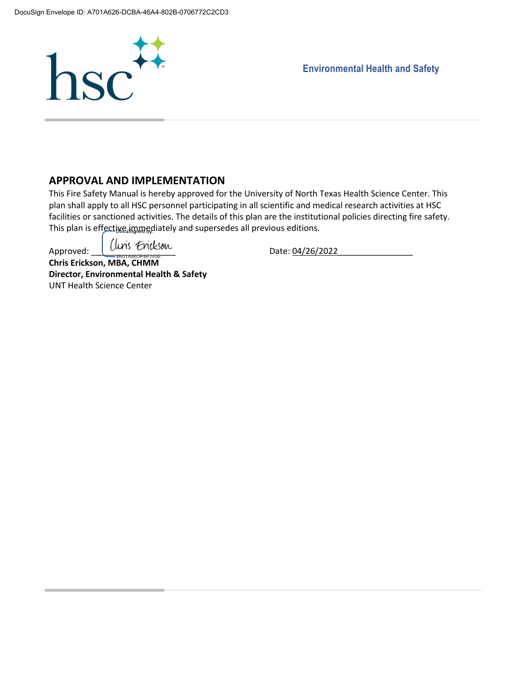

 **Environmental Health and Safety**

#### **APPROVAL AND IMPLEMENTATION**

This Fire Safety Manual is hereby approved for the University of North Texas Health Science Center. This plan shall apply to all HSC personnel participating in all scientific and medical research activities at HSC facilities or sanctioned activities. The details of this plan are the institutional policies directing fire safety. This plan is effective immediately and supersedes all previous editions.

Approved:  $\left| \begin{array}{c} \text{(ln)} \\ \text{(ln)} \end{array} \right|$   $\frac{1}{2}$ 

**Chris Erickson, MBA, CHMM Director, Environmental Health & Safety** UNT Health Science Center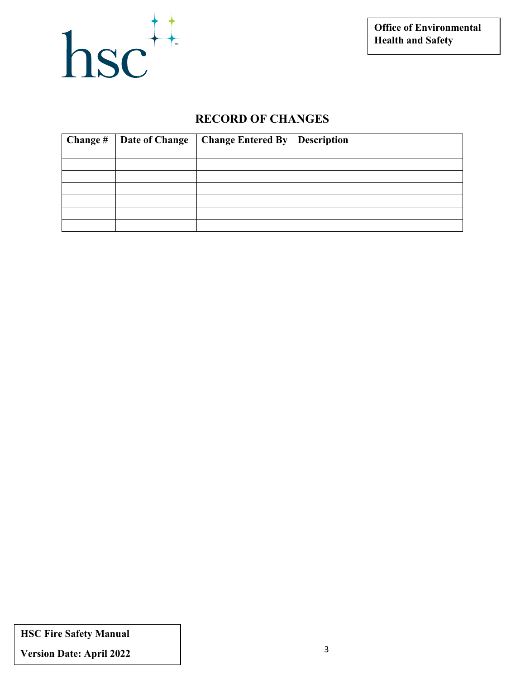

#### **RECORD OF CHANGES**

| Change # | Date of Change | <b>Change Entered By</b> | <b>Description</b> |
|----------|----------------|--------------------------|--------------------|
|          |                |                          |                    |
|          |                |                          |                    |
|          |                |                          |                    |
|          |                |                          |                    |
|          |                |                          |                    |
|          |                |                          |                    |
|          |                |                          |                    |

**HSC Fire Safety Manual**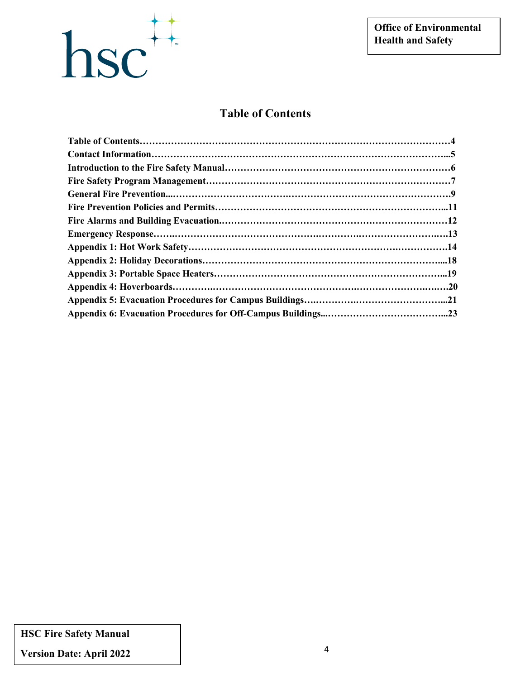

#### **Table of Contents**

**HSC Fire Safety Manual**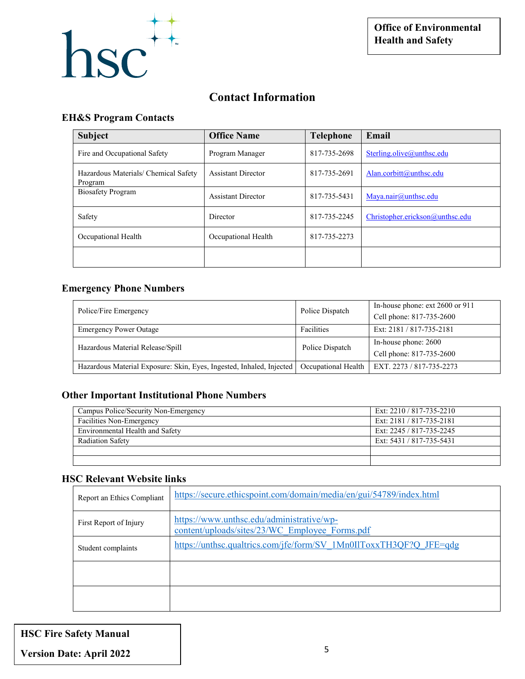

#### **Contact Information**

#### **EH&S Program Contacts**

| <b>Subject</b>                                  | <b>Office Name</b>        | <b>Telephone</b> | Email                           |
|-------------------------------------------------|---------------------------|------------------|---------------------------------|
| Fire and Occupational Safety                    | Program Manager           | 817-735-2698     | Sterling.olive@unthsc.edu       |
| Hazardous Materials/ Chemical Safety<br>Program | <b>Assistant Director</b> | 817-735-2691     | Alan.corbitt@unthsc.edu         |
| <b>Biosafety Program</b>                        | <b>Assistant Director</b> | 817-735-5431     | Maya.nair@unthsc.edu            |
| Safety                                          | Director                  | 817-735-2245     | Christopher.erickson@unthsc.edu |
| Occupational Health                             | Occupational Health       | 817-735-2273     |                                 |
|                                                 |                           |                  |                                 |

#### **Emergency Phone Numbers**

| Police/Fire Emergency                                                | Police Dispatch     | In-house phone: ext 2600 or 911<br>Cell phone: 817-735-2600 |
|----------------------------------------------------------------------|---------------------|-------------------------------------------------------------|
| <b>Emergency Power Outage</b>                                        | Facilities          | Ext: 2181 / 817-735-2181                                    |
| Hazardous Material Release/Spill                                     | Police Dispatch     | In-house phone: 2600                                        |
|                                                                      |                     | Cell phone: 817-735-2600                                    |
| Hazardous Material Exposure: Skin, Eyes, Ingested, Inhaled, Injected | Occupational Health | EXT. 2273 / 817-735-2273                                    |

#### **Other Important Institutional Phone Numbers**

| Campus Police/Security Non-Emergency | Ext: 2210 / 817-735-2210 |
|--------------------------------------|--------------------------|
| Facilities Non-Emergency             | Ext: 2181 / 817-735-2181 |
| Environmental Health and Safety      | Ext: 2245 / 817-735-2245 |
| <b>Radiation Safety</b>              | Ext: 5431 / 817-735-5431 |
|                                      |                          |
|                                      |                          |

#### **HSC Relevant Website links**

| Report an Ethics Compliant | https://secure.ethicspoint.com/domain/media/en/gui/54789/index.html                         |
|----------------------------|---------------------------------------------------------------------------------------------|
| First Report of Injury     | https://www.unthsc.edu/administrative/wp-<br>content/uploads/sites/23/WC Employee Forms.pdf |
| Student complaints         | https://unthsc.qualtrics.com/jfe/form/SV 1Mn0IIToxxTH3QF?Q JFE=qdg                          |
|                            |                                                                                             |
|                            |                                                                                             |

| <b>HSC Fire Safety Manual</b>   |  |
|---------------------------------|--|
| <b>Version Date: April 2022</b> |  |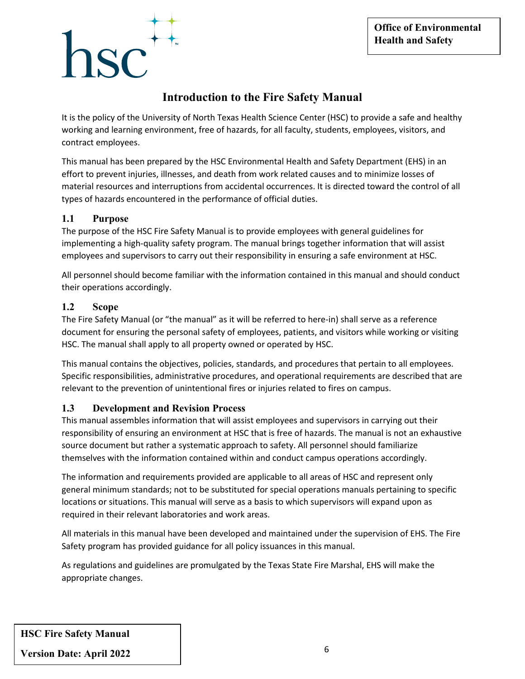# $\mathbf{S} \mathbf{C}^+$

#### **Introduction to the Fire Safety Manual**

It is the policy of the University of North Texas Health Science Center (HSC) to provide a safe and healthy working and learning environment, free of hazards, for all faculty, students, employees, visitors, and contract employees.

This manual has been prepared by the HSC Environmental Health and Safety Department (EHS) in an effort to prevent injuries, illnesses, and death from work related causes and to minimize losses of material resources and interruptions from accidental occurrences. It is directed toward the control of all types of hazards encountered in the performance of official duties.

#### **1.1 Purpose**

The purpose of the HSC Fire Safety Manual is to provide employees with general guidelines for implementing a high-quality safety program. The manual brings together information that will assist employees and supervisors to carry out their responsibility in ensuring a safe environment at HSC.

All personnel should become familiar with the information contained in this manual and should conduct their operations accordingly.

#### **1.2 Scope**

The Fire Safety Manual (or "the manual" as it will be referred to here-in) shall serve as a reference document for ensuring the personal safety of employees, patients, and visitors while working or visiting HSC. The manual shall apply to all property owned or operated by HSC.

This manual contains the objectives, policies, standards, and procedures that pertain to all employees. Specific responsibilities, administrative procedures, and operational requirements are described that are relevant to the prevention of unintentional fires or injuries related to fires on campus.

#### **1.3 Development and Revision Process**

This manual assembles information that will assist employees and supervisors in carrying out their responsibility of ensuring an environment at HSC that is free of hazards. The manual is not an exhaustive source document but rather a systematic approach to safety. All personnel should familiarize themselves with the information contained within and conduct campus operations accordingly.

The information and requirements provided are applicable to all areas of HSC and represent only general minimum standards; not to be substituted for special operations manuals pertaining to specific locations or situations. This manual will serve as a basis to which supervisors will expand upon as required in their relevant laboratories and work areas.

All materials in this manual have been developed and maintained under the supervision of EHS. The Fire Safety program has provided guidance for all policy issuances in this manual.

As regulations and guidelines are promulgated by the Texas State Fire Marshal, EHS will make the appropriate changes.

**HSC Fire Safety Manual**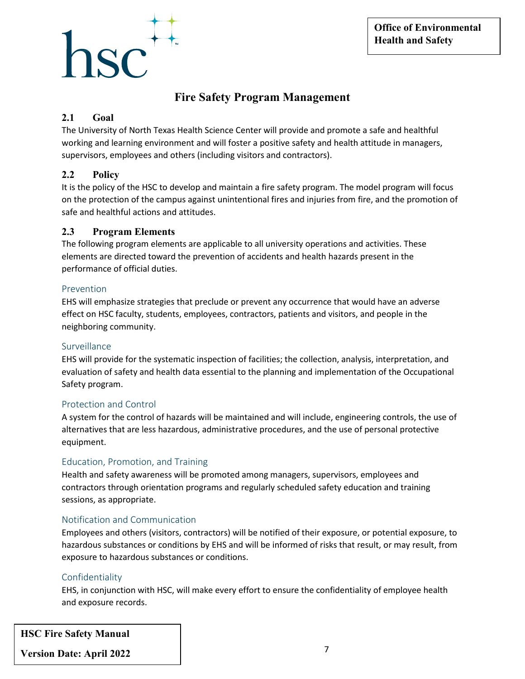## $\overline{\text{C}}$

#### **Fire Safety Program Management**

#### **2.1 Goal**

The University of North Texas Health Science Center will provide and promote a safe and healthful working and learning environment and will foster a positive safety and health attitude in managers, supervisors, employees and others (including visitors and contractors).

#### **2.2 Policy**

It is the policy of the HSC to develop and maintain a fire safety program. The model program will focus on the protection of the campus against unintentional fires and injuries from fire, and the promotion of safe and healthful actions and attitudes.

#### **2.3 Program Elements**

The following program elements are applicable to all university operations and activities. These elements are directed toward the prevention of accidents and health hazards present in the performance of official duties.

#### Prevention

EHS will emphasize strategies that preclude or prevent any occurrence that would have an adverse effect on HSC faculty, students, employees, contractors, patients and visitors, and people in the neighboring community.

#### Surveillance

EHS will provide for the systematic inspection of facilities; the collection, analysis, interpretation, and evaluation of safety and health data essential to the planning and implementation of the Occupational Safety program.

#### Protection and Control

A system for the control of hazards will be maintained and will include, engineering controls, the use of alternatives that are less hazardous, administrative procedures, and the use of personal protective equipment.

#### Education, Promotion, and Training

Health and safety awareness will be promoted among managers, supervisors, employees and contractors through orientation programs and regularly scheduled safety education and training sessions, as appropriate.

#### Notification and Communication

Employees and others (visitors, contractors) will be notified of their exposure, or potential exposure, to hazardous substances or conditions by EHS and will be informed of risks that result, or may result, from exposure to hazardous substances or conditions.

#### Confidentiality

EHS, in conjunction with HSC, will make every effort to ensure the confidentiality of employee health and exposure records.

**HSC Fire Safety Manual**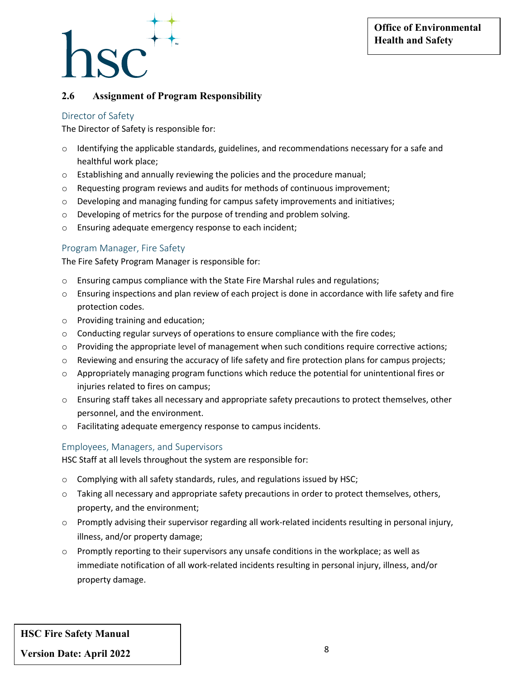#### **2.6 Assignment of Program Responsibility**

#### Director of Safety

The Director of Safety is responsible for:

- o Identifying the applicable standards, guidelines, and recommendations necessary for a safe and healthful work place;
- o Establishing and annually reviewing the policies and the procedure manual;
- o Requesting program reviews and audits for methods of continuous improvement;
- $\circ$  Developing and managing funding for campus safety improvements and initiatives;
- o Developing of metrics for the purpose of trending and problem solving.
- o Ensuring adequate emergency response to each incident;

#### Program Manager, Fire Safety

The Fire Safety Program Manager is responsible for:

- o Ensuring campus compliance with the State Fire Marshal rules and regulations;
- $\circ$  Ensuring inspections and plan review of each project is done in accordance with life safety and fire protection codes.
- o Providing training and education;
- $\circ$  Conducting regular surveys of operations to ensure compliance with the fire codes;
- o Providing the appropriate level of management when such conditions require corrective actions;
- o Reviewing and ensuring the accuracy of life safety and fire protection plans for campus projects;
- $\circ$  Appropriately managing program functions which reduce the potential for unintentional fires or injuries related to fires on campus;
- $\circ$  Ensuring staff takes all necessary and appropriate safety precautions to protect themselves, other personnel, and the environment.
- o Facilitating adequate emergency response to campus incidents.

#### Employees, Managers, and Supervisors

HSC Staff at all levels throughout the system are responsible for:

- o Complying with all safety standards, rules, and regulations issued by HSC;
- $\circ$  Taking all necessary and appropriate safety precautions in order to protect themselves, others, property, and the environment;
- o Promptly advising their supervisor regarding all work-related incidents resulting in personal injury, illness, and/or property damage;
- o Promptly reporting to their supervisors any unsafe conditions in the workplace; as well as immediate notification of all work-related incidents resulting in personal injury, illness, and/or property damage.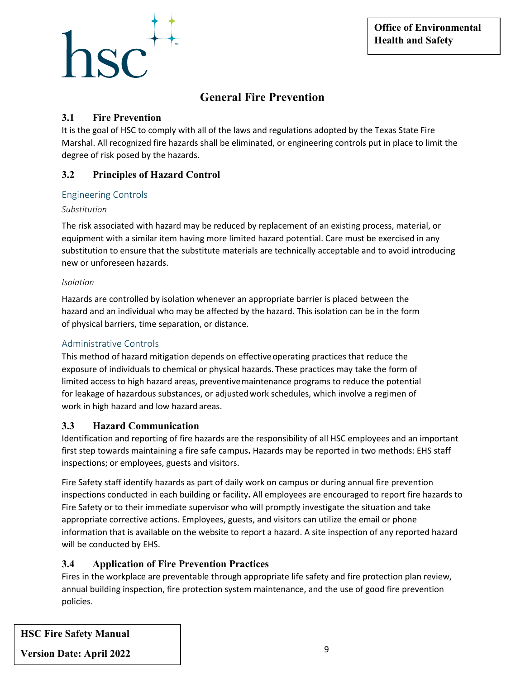# $1SC^+$

#### **General Fire Prevention**

#### **3.1 Fire Prevention**

It is the goal of HSC to comply with all of the laws and regulations adopted by the Texas State Fire Marshal. All recognized fire hazards shall be eliminated, or engineering controls put in place to limit the degree of risk posed by the hazards.

#### **3.2 Principles of Hazard Control**

#### Engineering Controls

#### *Substitution*

The risk associated with hazard may be reduced by replacement of an existing process, material, or equipment with a similar item having more limited hazard potential. Care must be exercised in any substitution to ensure that the substitute materials are technically acceptable and to avoid introducing new or unforeseen hazards.

#### *Isolation*

Hazards are controlled by isolation whenever an appropriate barrier is placed between the hazard and an individual who may be affected by the hazard. This isolation can be in the form of physical barriers, time separation, or distance.

#### Administrative Controls

This method of hazard mitigation depends on effectiveoperating practices that reduce the exposure of individuals to chemical or physical hazards. These practices may take the form of limited access to high hazard areas, preventivemaintenance programs to reduce the potential for leakage of hazardous substances, or adjustedwork schedules, which involve a regimen of work in high hazard and low hazard areas.

#### **3.3 Hazard Communication**

Identification and reporting of fire hazards are the responsibility of all HSC employees and an important first step towards maintaining a fire safe campus**.** Hazards may be reported in two methods: EHS staff inspections; or employees, guests and visitors.

Fire Safety staff identify hazards as part of daily work on campus or during annual fire prevention inspections conducted in each building or facility**.** All employees are encouraged to report fire hazards to Fire Safety or to their immediate supervisor who will promptly investigate the situation and take appropriate corrective actions. Employees, guests, and visitors can utilize the email or phone information that is available on the website to report a hazard. A site inspection of any reported hazard will be conducted by EHS.

#### **3.4 Application of Fire Prevention Practices**

Fires in the workplace are preventable through appropriate life safety and fire protection plan review, annual building inspection, fire protection system maintenance, and the use of good fire prevention policies.

**HSC Fire Safety Manual**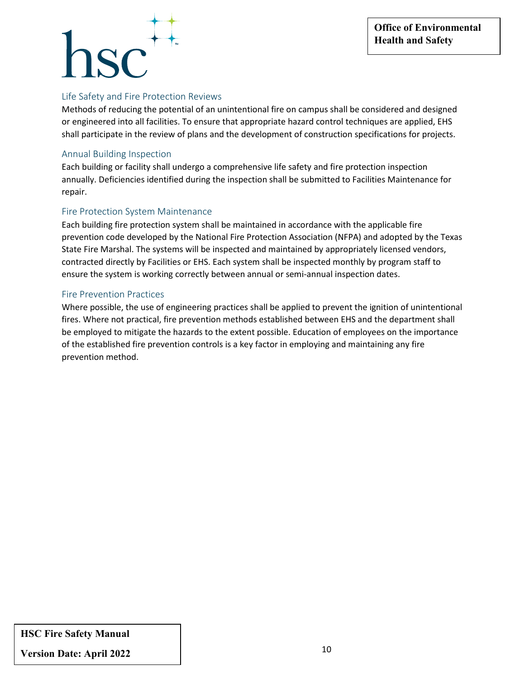## $\mathsf{ISC}^{\pm}$

#### Life Safety and Fire Protection Reviews

Methods of reducing the potential of an unintentional fire on campus shall be considered and designed or engineered into all facilities. To ensure that appropriate hazard control techniques are applied, EHS shall participate in the review of plans and the development of construction specifications for projects.

#### Annual Building Inspection

Each building or facility shall undergo a comprehensive life safety and fire protection inspection annually. Deficiencies identified during the inspection shall be submitted to Facilities Maintenance for repair.

#### Fire Protection System Maintenance

Each building fire protection system shall be maintained in accordance with the applicable fire prevention code developed by the National Fire Protection Association (NFPA) and adopted by the Texas State Fire Marshal. The systems will be inspected and maintained by appropriately licensed vendors, contracted directly by Facilities or EHS. Each system shall be inspected monthly by program staff to ensure the system is working correctly between annual or semi-annual inspection dates.

#### Fire Prevention Practices

Where possible, the use of engineering practices shall be applied to prevent the ignition of unintentional fires. Where not practical, fire prevention methods established between EHS and the department shall be employed to mitigate the hazards to the extent possible. Education of employees on the importance of the established fire prevention controls is a key factor in employing and maintaining any fire prevention method.

#### **HSC Fire Safety Manual**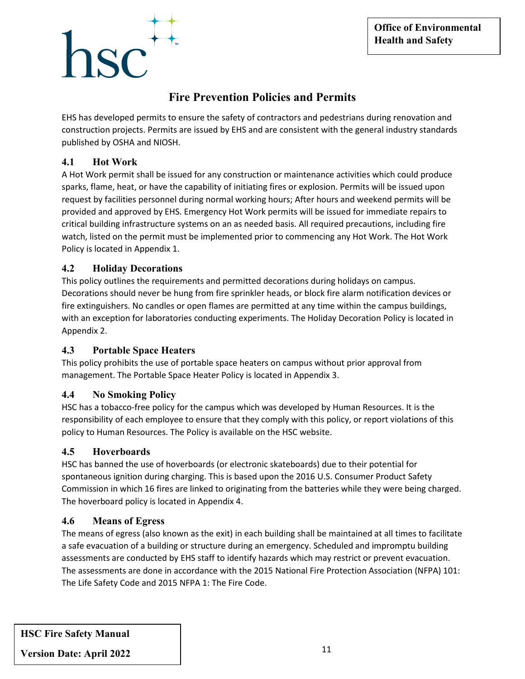# $SC$

#### **Fire Prevention Policies and Permits**

EHS has developed permits to ensure the safety of contractors and pedestrians during renovation and construction projects. Permits are issued by EHS and are consistent with the general industry standards published by OSHA and NIOSH.

#### **4.1 Hot Work**

A Hot Work permit shall be issued for any construction or maintenance activities which could produce sparks, flame, heat, or have the capability of initiating fires or explosion. Permits will be issued upon request by facilities personnel during normal working hours; After hours and weekend permits will be provided and approved by EHS. Emergency Hot Work permits will be issued for immediate repairs to critical building infrastructure systems on an as needed basis. All required precautions, including fire watch, listed on the permit must be implemented prior to commencing any Hot Work. The Hot Work Policy is located in Appendix 1.

#### **4.2 Holiday Decorations**

This policy outlines the requirements and permitted decorations during holidays on campus. Decorations should never be hung from fire sprinkler heads, or block fire alarm notification devices or fire extinguishers. No candles or open flames are permitted at any time within the campus buildings, with an exception for laboratories conducting experiments. The Holiday Decoration Policy is located in Appendix 2.

#### **4.3 Portable Space Heaters**

This policy prohibits the use of portable space heaters on campus without prior approval from management. The Portable Space Heater Policy is located in Appendix 3.

#### **4.4 No Smoking Policy**

HSC has a tobacco-free policy for the campus which was developed by Human Resources. It is the responsibility of each employee to ensure that they comply with this policy, or report violations of this policy to Human Resources. The Policy is available on the HSC website.

#### **4.5 Hoverboards**

HSC has banned the use of hoverboards (or electronic skateboards) due to their potential for spontaneous ignition during charging. This is based upon the 2016 U.S. Consumer Product Safety Commission in which 16 fires are linked to originating from the batteries while they were being charged. The hoverboard policy is located in Appendix 4.

#### **4.6 Means of Egress**

The means of egress (also known as the exit) in each building shall be maintained at all times to facilitate a safe evacuation of a building or structure during an emergency. Scheduled and impromptu building assessments are conducted by EHS staff to identify hazards which may restrict or prevent evacuation. The assessments are done in accordance with the 2015 National Fire Protection Association (NFPA) 101: The Life Safety Code and 2015 NFPA 1: The Fire Code.

**HSC Fire Safety Manual**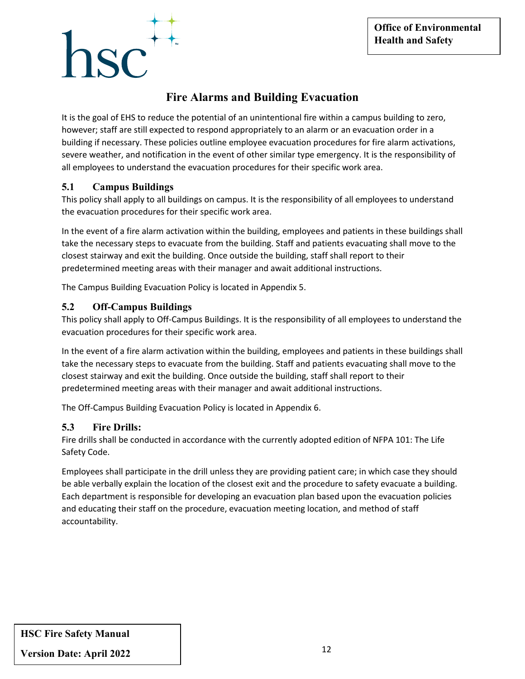# $\mathbf{S} \mathbf{C}^+$

#### **Fire Alarms and Building Evacuation**

It is the goal of EHS to reduce the potential of an unintentional fire within a campus building to zero, however; staff are still expected to respond appropriately to an alarm or an evacuation order in a building if necessary. These policies outline employee evacuation procedures for fire alarm activations, severe weather, and notification in the event of other similar type emergency. It is the responsibility of all employees to understand the evacuation procedures for their specific work area.

#### **5.1 Campus Buildings**

This policy shall apply to all buildings on campus. It is the responsibility of all employees to understand the evacuation procedures for their specific work area.

In the event of a fire alarm activation within the building, employees and patients in these buildings shall take the necessary steps to evacuate from the building. Staff and patients evacuating shall move to the closest stairway and exit the building. Once outside the building, staff shall report to their predetermined meeting areas with their manager and await additional instructions.

The Campus Building Evacuation Policy is located in Appendix 5.

#### **5.2 Off-Campus Buildings**

This policy shall apply to Off-Campus Buildings. It is the responsibility of all employees to understand the evacuation procedures for their specific work area.

In the event of a fire alarm activation within the building, employees and patients in these buildings shall take the necessary steps to evacuate from the building. Staff and patients evacuating shall move to the closest stairway and exit the building. Once outside the building, staff shall report to their predetermined meeting areas with their manager and await additional instructions.

The Off-Campus Building Evacuation Policy is located in Appendix 6.

#### **5.3 Fire Drills:**

Fire drills shall be conducted in accordance with the currently adopted edition of NFPA 101: The Life Safety Code.

Employees shall participate in the drill unless they are providing patient care; in which case they should be able verbally explain the location of the closest exit and the procedure to safety evacuate a building. Each department is responsible for developing an evacuation plan based upon the evacuation policies and educating their staff on the procedure, evacuation meeting location, and method of staff accountability.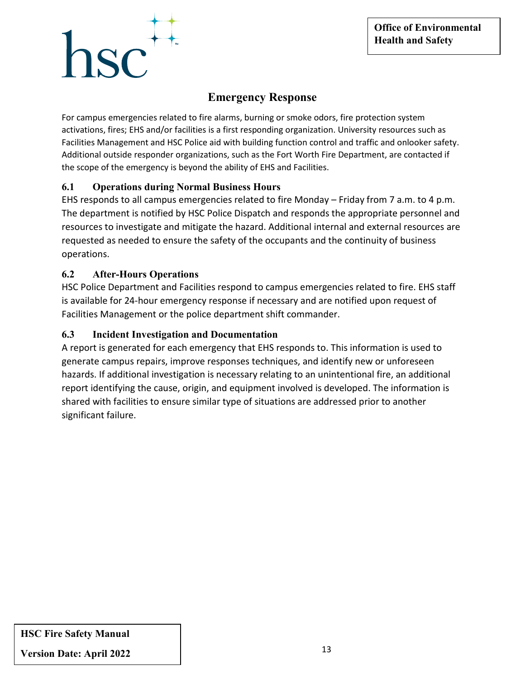# $\overline{\text{Rf}}^+$

#### **Emergency Response**

For campus emergencies related to fire alarms, burning or smoke odors, fire protection system activations, fires; EHS and/or facilities is a first responding organization. University resources such as Facilities Management and HSC Police aid with building function control and traffic and onlooker safety. Additional outside responder organizations, such as the Fort Worth Fire Department, are contacted if the scope of the emergency is beyond the ability of EHS and Facilities.

#### **6.1 Operations during Normal Business Hours**

EHS responds to all campus emergencies related to fire Monday – Friday from 7 a.m. to 4 p.m. The department is notified by HSC Police Dispatch and responds the appropriate personnel and resources to investigate and mitigate the hazard. Additional internal and external resources are requested as needed to ensure the safety of the occupants and the continuity of business operations.

#### **6.2 After-Hours Operations**

HSC Police Department and Facilities respond to campus emergencies related to fire. EHS staff is available for 24-hour emergency response if necessary and are notified upon request of Facilities Management or the police department shift commander.

#### **6.3 Incident Investigation and Documentation**

A report is generated for each emergency that EHS responds to. This information is used to generate campus repairs, improve responses techniques, and identify new or unforeseen hazards. If additional investigation is necessary relating to an unintentional fire, an additional report identifying the cause, origin, and equipment involved is developed. The information is shared with facilities to ensure similar type of situations are addressed prior to another significant failure.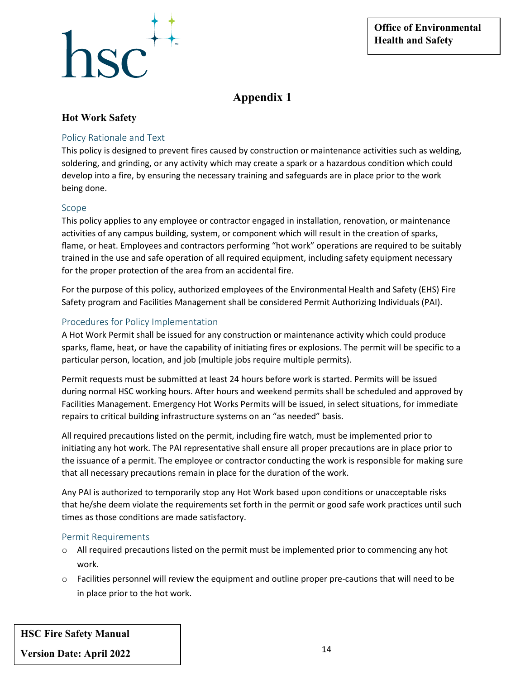

#### **Hot Work Safety**

#### Policy Rationale and Text

This policy is designed to prevent fires caused by construction or maintenance activities such as welding, soldering, and grinding, or any activity which may create a spark or a hazardous condition which could develop into a fire, by ensuring the necessary training and safeguards are in place prior to the work being done.

#### Scope

This policy applies to any employee or contractor engaged in installation, renovation, or maintenance activities of any campus building, system, or component which will result in the creation of sparks, flame, or heat. Employees and contractors performing "hot work" operations are required to be suitably trained in the use and safe operation of all required equipment, including safety equipment necessary for the proper protection of the area from an accidental fire.

For the purpose of this policy, authorized employees of the Environmental Health and Safety (EHS) Fire Safety program and Facilities Management shall be considered Permit Authorizing Individuals (PAI).

#### Procedures for Policy Implementation

A Hot Work Permit shall be issued for any construction or maintenance activity which could produce sparks, flame, heat, or have the capability of initiating fires or explosions. The permit will be specific to a particular person, location, and job (multiple jobs require multiple permits).

Permit requests must be submitted at least 24 hours before work is started. Permits will be issued during normal HSC working hours. After hours and weekend permits shall be scheduled and approved by Facilities Management. Emergency Hot Works Permits will be issued, in select situations, for immediate repairs to critical building infrastructure systems on an "as needed" basis.

All required precautions listed on the permit, including fire watch, must be implemented prior to initiating any hot work. The PAI representative shall ensure all proper precautions are in place prior to the issuance of a permit. The employee or contractor conducting the work is responsible for making sure that all necessary precautions remain in place for the duration of the work.

Any PAI is authorized to temporarily stop any Hot Work based upon conditions or unacceptable risks that he/she deem violate the requirements set forth in the permit or good safe work practices until such times as those conditions are made satisfactory.

#### Permit Requirements

- $\circ$  All required precautions listed on the permit must be implemented prior to commencing any hot work.
- $\circ$  Facilities personnel will review the equipment and outline proper pre-cautions that will need to be in place prior to the hot work.

**HSC Fire Safety Manual**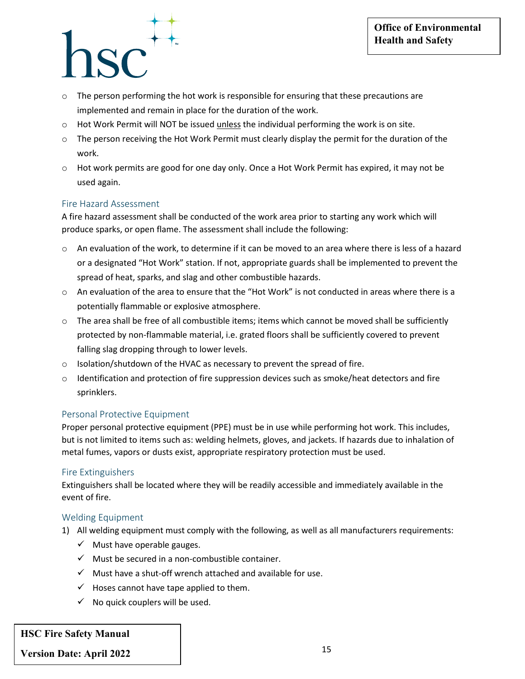- $\circ$  The person performing the hot work is responsible for ensuring that these precautions are implemented and remain in place for the duration of the work.
- o Hot Work Permit will NOT be issued unless the individual performing the work is on site.
- $\circ$  The person receiving the Hot Work Permit must clearly display the permit for the duration of the work.
- o Hot work permits are good for one day only. Once a Hot Work Permit has expired, it may not be used again.

#### Fire Hazard Assessment

A fire hazard assessment shall be conducted of the work area prior to starting any work which will produce sparks, or open flame. The assessment shall include the following:

- $\circ$  An evaluation of the work, to determine if it can be moved to an area where there is less of a hazard or a designated "Hot Work" station. If not, appropriate guards shall be implemented to prevent the spread of heat, sparks, and slag and other combustible hazards.
- $\circ$  An evaluation of the area to ensure that the "Hot Work" is not conducted in areas where there is a potentially flammable or explosive atmosphere.
- $\circ$  The area shall be free of all combustible items; items which cannot be moved shall be sufficiently protected by non-flammable material, i.e. grated floors shall be sufficiently covered to prevent falling slag dropping through to lower levels.
- $\circ$  Isolation/shutdown of the HVAC as necessary to prevent the spread of fire.
- $\circ$  Identification and protection of fire suppression devices such as smoke/heat detectors and fire sprinklers.

#### Personal Protective Equipment

Proper personal protective equipment (PPE) must be in use while performing hot work. This includes, but is not limited to items such as: welding helmets, gloves, and jackets. If hazards due to inhalation of metal fumes, vapors or dusts exist, appropriate respiratory protection must be used.

#### Fire Extinguishers

Extinguishers shall be located where they will be readily accessible and immediately available in the event of fire.

#### Welding Equipment

- 1) All welding equipment must comply with the following, as well as all manufacturers requirements:
	- $\checkmark$  Must have operable gauges.
	- $\checkmark$  Must be secured in a non-combustible container.
	- $\checkmark$  Must have a shut-off wrench attached and available for use.
	- $\checkmark$  Hoses cannot have tape applied to them.
	- $\checkmark$  No quick couplers will be used.

#### **HSC Fire Safety Manual**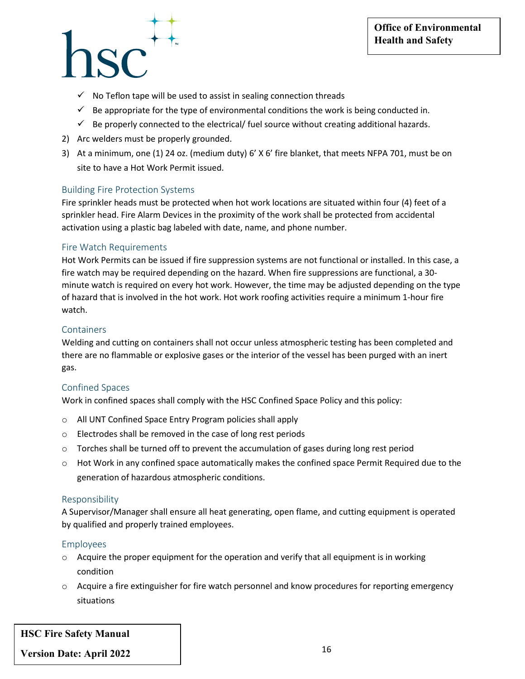- $\checkmark$  No Teflon tape will be used to assist in sealing connection threads
- $\checkmark$  Be appropriate for the type of environmental conditions the work is being conducted in.
- $\checkmark$  Be properly connected to the electrical/ fuel source without creating additional hazards.
- 2) Arc welders must be properly grounded.
- 3) At a minimum, one (1) 24 oz. (medium duty) 6' X 6' fire blanket, that meets NFPA 701, must be on site to have a Hot Work Permit issued.

#### Building Fire Protection Systems

Fire sprinkler heads must be protected when hot work locations are situated within four (4) feet of a sprinkler head. Fire Alarm Devices in the proximity of the work shall be protected from accidental activation using a plastic bag labeled with date, name, and phone number.

#### Fire Watch Requirements

Hot Work Permits can be issued if fire suppression systems are not functional or installed. In this case, a fire watch may be required depending on the hazard. When fire suppressions are functional, a 30 minute watch is required on every hot work. However, the time may be adjusted depending on the type of hazard that is involved in the hot work. Hot work roofing activities require a minimum 1-hour fire watch.

#### Containers

Welding and cutting on containers shall not occur unless atmospheric testing has been completed and there are no flammable or explosive gases or the interior of the vessel has been purged with an inert gas.

#### Confined Spaces

Work in confined spaces shall comply with the HSC Confined Space Policy and this policy:

- o All UNT Confined Space Entry Program policies shall apply
- o Electrodes shall be removed in the case of long rest periods
- $\circ$  Torches shall be turned off to prevent the accumulation of gases during long rest period
- $\circ$  Hot Work in any confined space automatically makes the confined space Permit Required due to the generation of hazardous atmospheric conditions.

#### Responsibility

A Supervisor/Manager shall ensure all heat generating, open flame, and cutting equipment is operated by qualified and properly trained employees.

#### Employees

- $\circ$  Acquire the proper equipment for the operation and verify that all equipment is in working condition
- $\circ$  Acquire a fire extinguisher for fire watch personnel and know procedures for reporting emergency situations

**HSC Fire Safety Manual**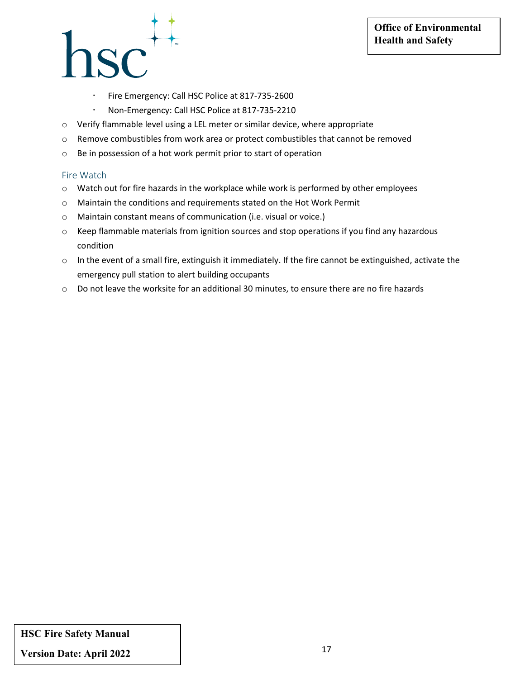### 1SC<sup>++</sup>

- Fire Emergency: Call HSC Police at 817-735-2600
- Non-Emergency: Call HSC Police at 817-735-2210
- o Verify flammable level using a LEL meter or similar device, where appropriate
- o Remove combustibles from work area or protect combustibles that cannot be removed
- o Be in possession of a hot work permit prior to start of operation

#### Fire Watch

- o Watch out for fire hazards in the workplace while work is performed by other employees
- o Maintain the conditions and requirements stated on the Hot Work Permit
- o Maintain constant means of communication (i.e. visual or voice.)
- $\circ$  Keep flammable materials from ignition sources and stop operations if you find any hazardous condition
- o In the event of a small fire, extinguish it immediately. If the fire cannot be extinguished, activate the emergency pull station to alert building occupants
- $\circ$  Do not leave the worksite for an additional 30 minutes, to ensure there are no fire hazards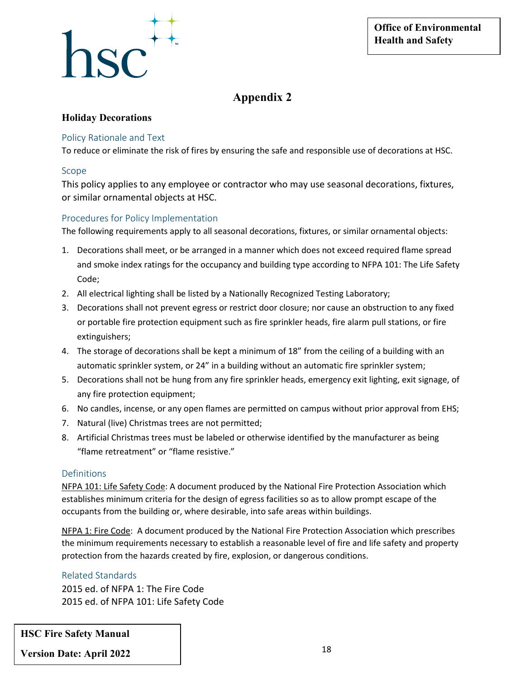

#### **Holiday Decorations**

#### Policy Rationale and Text

To reduce or eliminate the risk of fires by ensuring the safe and responsible use of decorations at HSC.

#### Scope

This policy applies to any employee or contractor who may use seasonal decorations, fixtures, or similar ornamental objects at HSC.

#### Procedures for Policy Implementation

The following requirements apply to all seasonal decorations, fixtures, or similar ornamental objects:

- 1. Decorations shall meet, or be arranged in a manner which does not exceed required flame spread and smoke index ratings for the occupancy and building type according to NFPA 101: The Life Safety Code;
- 2. All electrical lighting shall be listed by a Nationally Recognized Testing Laboratory;
- 3. Decorations shall not prevent egress or restrict door closure; nor cause an obstruction to any fixed or portable fire protection equipment such as fire sprinkler heads, fire alarm pull stations, or fire extinguishers;
- 4. The storage of decorations shall be kept a minimum of 18" from the ceiling of a building with an automatic sprinkler system, or 24" in a building without an automatic fire sprinkler system;
- 5. Decorations shall not be hung from any fire sprinkler heads, emergency exit lighting, exit signage, of any fire protection equipment;
- 6. No candles, incense, or any open flames are permitted on campus without prior approval from EHS;
- 7. Natural (live) Christmas trees are not permitted;
- 8. Artificial Christmas trees must be labeled or otherwise identified by the manufacturer as being "flame retreatment" or "flame resistive."

#### Definitions

NFPA 101: Life Safety Code: A document produced by the National Fire Protection Association which establishes minimum criteria for the design of egress facilities so as to allow prompt escape of the occupants from the building or, where desirable, into safe areas within buildings.

NFPA 1: Fire Code: A document produced by the National Fire Protection Association which prescribes the minimum requirements necessary to establish a reasonable level of fire and life safety and property protection from the hazards created by fire, explosion, or dangerous conditions.

#### Related Standards

2015 ed. of NFPA 1: The Fire Code 2015 ed. of NFPA 101: Life Safety Code

**HSC Fire Safety Manual**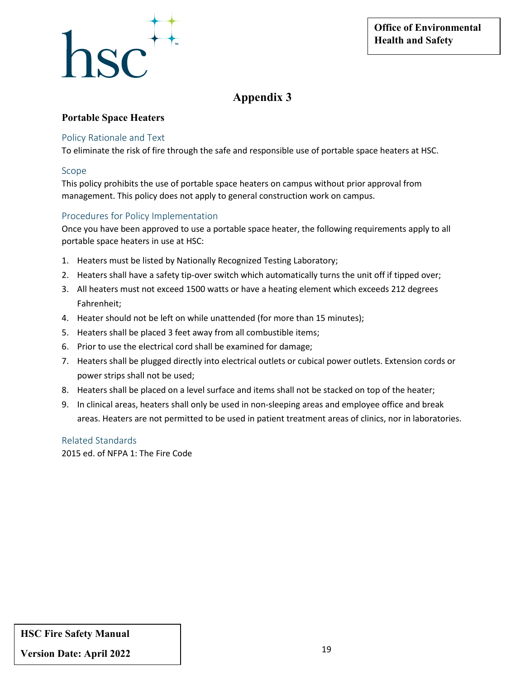

#### **Portable Space Heaters**

#### Policy Rationale and Text

To eliminate the risk of fire through the safe and responsible use of portable space heaters at HSC.

#### Scope

This policy prohibits the use of portable space heaters on campus without prior approval from management. This policy does not apply to general construction work on campus.

#### Procedures for Policy Implementation

Once you have been approved to use a portable space heater, the following requirements apply to all portable space heaters in use at HSC:

- 1. Heaters must be listed by Nationally Recognized Testing Laboratory;
- 2. Heaters shall have a safety tip-over switch which automatically turns the unit off if tipped over;
- 3. All heaters must not exceed 1500 watts or have a heating element which exceeds 212 degrees Fahrenheit;
- 4. Heater should not be left on while unattended (for more than 15 minutes);
- 5. Heaters shall be placed 3 feet away from all combustible items;
- 6. Prior to use the electrical cord shall be examined for damage;
- 7. Heaters shall be plugged directly into electrical outlets or cubical power outlets. Extension cords or power strips shall not be used;
- 8. Heaters shall be placed on a level surface and items shall not be stacked on top of the heater;
- 9. In clinical areas, heaters shall only be used in non-sleeping areas and employee office and break areas. Heaters are not permitted to be used in patient treatment areas of clinics, nor in laboratories.

Related Standards 2015 ed. of NFPA 1: The Fire Code

**HSC Fire Safety Manual**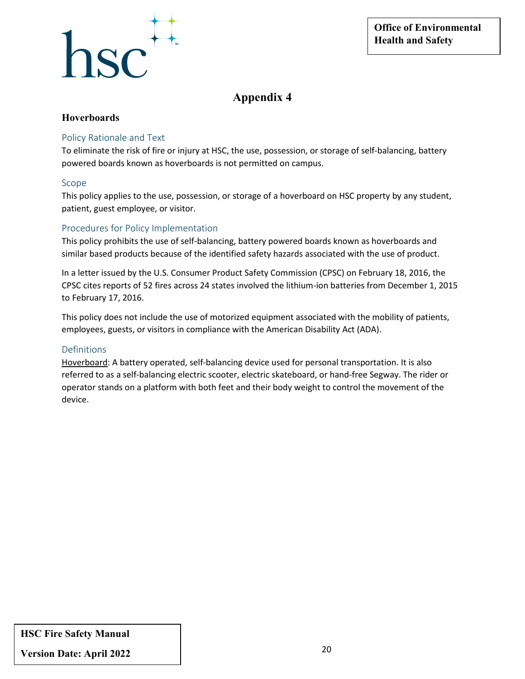

#### **Hoverboards**

#### Policy Rationale and Text

To eliminate the risk of fire or injury at HSC, the use, possession, or storage of self-balancing, battery powered boards known as hoverboards is not permitted on campus.

#### Scope

This policy applies to the use, possession, or storage of a hoverboard on HSC property by any student, patient, guest employee, or visitor.

#### Procedures for Policy Implementation

This policy prohibits the use of self-balancing, battery powered boards known as hoverboards and similar based products because of the identified safety hazards associated with the use of product.

In a letter issued by the U.S. Consumer Product Safety Commission (CPSC) on February 18, 2016, the CPSC cites reports of 52 fires across 24 states involved the lithium-ion batteries from December 1, 2015 to February 17, 2016.

This policy does not include the use of motorized equipment associated with the mobility of patients, employees, guests, or visitors in compliance with the American Disability Act (ADA).

#### Definitions

Hoverboard: A battery operated, self-balancing device used for personal transportation. It is also referred to as a self-balancing electric scooter, electric skateboard, or hand-free Segway. The rider or operator stands on a platform with both feet and their body weight to control the movement of the device.

**HSC Fire Safety Manual**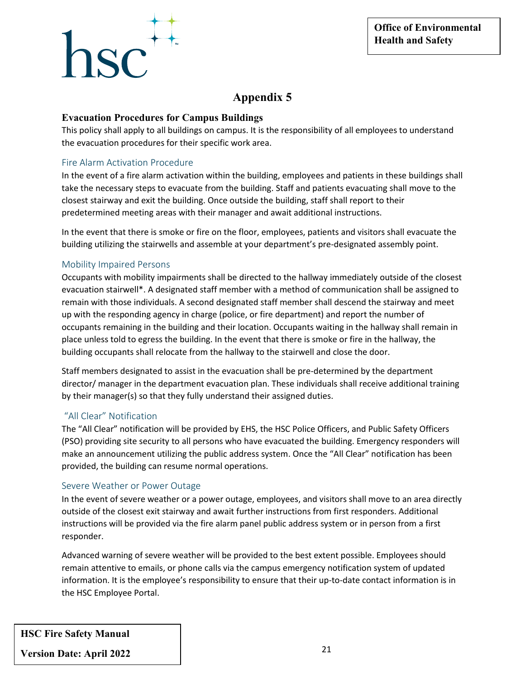# ${}^{\text{1SC}}$

### **Appendix 5**

#### **Evacuation Procedures for Campus Buildings**

This policy shall apply to all buildings on campus. It is the responsibility of all employees to understand the evacuation procedures for their specific work area.

#### Fire Alarm Activation Procedure

In the event of a fire alarm activation within the building, employees and patients in these buildings shall take the necessary steps to evacuate from the building. Staff and patients evacuating shall move to the closest stairway and exit the building. Once outside the building, staff shall report to their predetermined meeting areas with their manager and await additional instructions.

In the event that there is smoke or fire on the floor, employees, patients and visitors shall evacuate the building utilizing the stairwells and assemble at your department's pre-designated assembly point.

#### Mobility Impaired Persons

Occupants with mobility impairments shall be directed to the hallway immediately outside of the closest evacuation stairwell\*. A designated staff member with a method of communication shall be assigned to remain with those individuals. A second designated staff member shall descend the stairway and meet up with the responding agency in charge (police, or fire department) and report the number of occupants remaining in the building and their location. Occupants waiting in the hallway shall remain in place unless told to egress the building. In the event that there is smoke or fire in the hallway, the building occupants shall relocate from the hallway to the stairwell and close the door.

Staff members designated to assist in the evacuation shall be pre-determined by the department director/ manager in the department evacuation plan. These individuals shall receive additional training by their manager(s) so that they fully understand their assigned duties.

#### "All Clear" Notification

The "All Clear" notification will be provided by EHS, the HSC Police Officers, and Public Safety Officers (PSO) providing site security to all persons who have evacuated the building. Emergency responders will make an announcement utilizing the public address system. Once the "All Clear" notification has been provided, the building can resume normal operations.

#### Severe Weather or Power Outage

In the event of severe weather or a power outage, employees, and visitors shall move to an area directly outside of the closest exit stairway and await further instructions from first responders. Additional instructions will be provided via the fire alarm panel public address system or in person from a first responder.

Advanced warning of severe weather will be provided to the best extent possible. Employees should remain attentive to emails, or phone calls via the campus emergency notification system of updated information. It is the employee's responsibility to ensure that their up-to-date contact information is in the HSC Employee Portal.

**HSC Fire Safety Manual**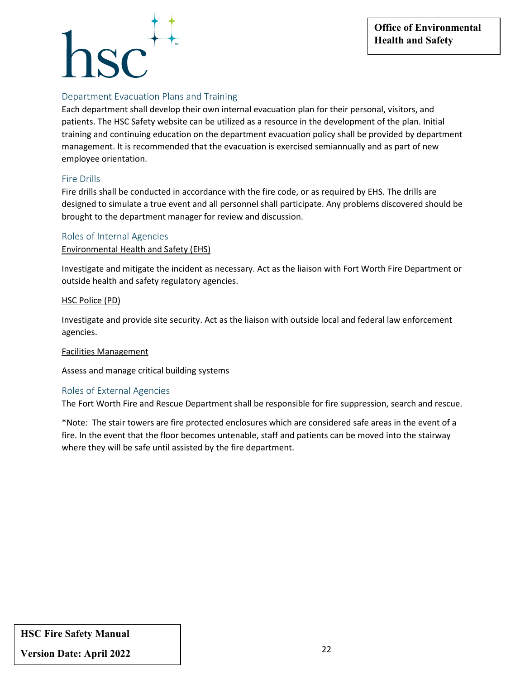### ${}^{\prime}$

#### Department Evacuation Plans and Training

Each department shall develop their own internal evacuation plan for their personal, visitors, and patients. The HSC Safety website can be utilized as a resource in the development of the plan. Initial training and continuing education on the department evacuation policy shall be provided by department management. It is recommended that the evacuation is exercised semiannually and as part of new employee orientation.

#### Fire Drills

Fire drills shall be conducted in accordance with the fire code, or as required by EHS. The drills are designed to simulate a true event and all personnel shall participate. Any problems discovered should be brought to the department manager for review and discussion.

#### Roles of Internal Agencies

#### Environmental Health and Safety (EHS)

Investigate and mitigate the incident as necessary. Act as the liaison with Fort Worth Fire Department or outside health and safety regulatory agencies.

#### HSC Police (PD)

Investigate and provide site security. Act as the liaison with outside local and federal law enforcement agencies.

#### Facilities Management

Assess and manage critical building systems

#### Roles of External Agencies

The Fort Worth Fire and Rescue Department shall be responsible for fire suppression, search and rescue.

\*Note: The stair towers are fire protected enclosures which are considered safe areas in the event of a fire. In the event that the floor becomes untenable, staff and patients can be moved into the stairway where they will be safe until assisted by the fire department.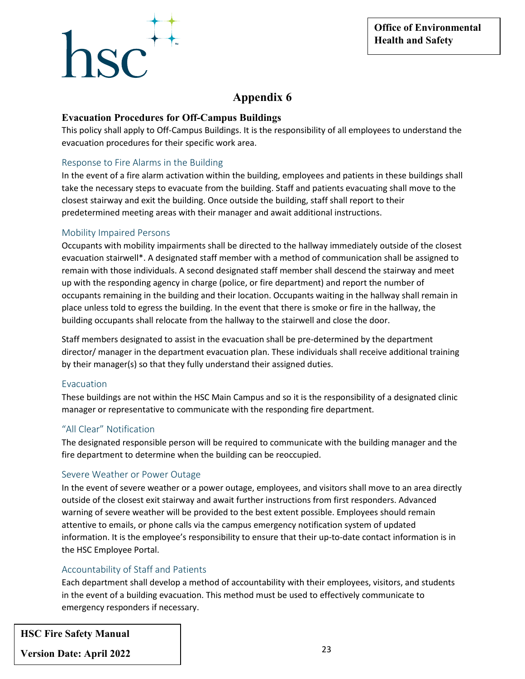## $\text{c}^{\text{H}}$

#### **Appendix 6**

#### **Evacuation Procedures for Off-Campus Buildings**

This policy shall apply to Off-Campus Buildings. It is the responsibility of all employees to understand the evacuation procedures for their specific work area.

#### Response to Fire Alarms in the Building

In the event of a fire alarm activation within the building, employees and patients in these buildings shall take the necessary steps to evacuate from the building. Staff and patients evacuating shall move to the closest stairway and exit the building. Once outside the building, staff shall report to their predetermined meeting areas with their manager and await additional instructions.

#### Mobility Impaired Persons

Occupants with mobility impairments shall be directed to the hallway immediately outside of the closest evacuation stairwell\*. A designated staff member with a method of communication shall be assigned to remain with those individuals. A second designated staff member shall descend the stairway and meet up with the responding agency in charge (police, or fire department) and report the number of occupants remaining in the building and their location. Occupants waiting in the hallway shall remain in place unless told to egress the building. In the event that there is smoke or fire in the hallway, the building occupants shall relocate from the hallway to the stairwell and close the door.

Staff members designated to assist in the evacuation shall be pre-determined by the department director/ manager in the department evacuation plan. These individuals shall receive additional training by their manager(s) so that they fully understand their assigned duties.

#### Evacuation

These buildings are not within the HSC Main Campus and so it is the responsibility of a designated clinic manager or representative to communicate with the responding fire department.

#### "All Clear" Notification

The designated responsible person will be required to communicate with the building manager and the fire department to determine when the building can be reoccupied.

#### Severe Weather or Power Outage

In the event of severe weather or a power outage, employees, and visitors shall move to an area directly outside of the closest exit stairway and await further instructions from first responders. Advanced warning of severe weather will be provided to the best extent possible. Employees should remain attentive to emails, or phone calls via the campus emergency notification system of updated information. It is the employee's responsibility to ensure that their up-to-date contact information is in the HSC Employee Portal.

#### Accountability of Staff and Patients

Each department shall develop a method of accountability with their employees, visitors, and students in the event of a building evacuation. This method must be used to effectively communicate to emergency responders if necessary.

**HSC Fire Safety Manual**